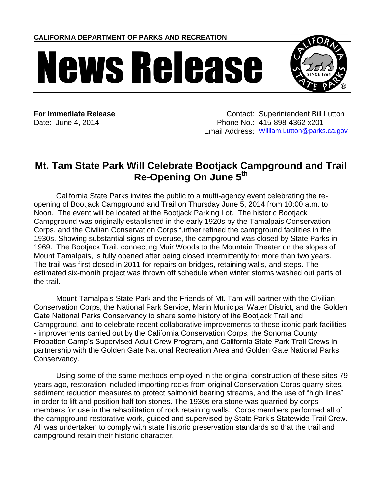**CALIFORNIA DEPARTMENT OF PARKS AND RECREATION**

## News Release



**For Immediate Release Contact: Superintendent Bill Lutton** Date: June 4, 2014 Phone No.: 415-898-4362 x201 Email Address: [William.Lutton@parks.ca.gov](mailto:William.Lutton@parks.ca.gov)

## **Mt. Tam State Park Will Celebrate Bootjack Campground and Trail Re-Opening On June 5th**

California State Parks invites the public to a multi-agency event celebrating the reopening of Bootjack Campground and Trail on Thursday June 5, 2014 from 10:00 a.m. to Noon. The event will be located at the Bootjack Parking Lot. The historic Bootjack Campground was originally established in the early 1920s by the Tamalpais Conservation Corps, and the Civilian Conservation Corps further refined the campground facilities in the 1930s. Showing substantial signs of overuse, the campground was closed by State Parks in 1969. The Bootjack Trail, connecting Muir Woods to the Mountain Theater on the slopes of Mount Tamalpais, is fully opened after being closed intermittently for more than two years. The trail was first closed in 2011 for repairs on bridges, retaining walls, and steps. The estimated six-month project was thrown off schedule when winter storms washed out parts of the trail.

Mount Tamalpais State Park and the Friends of Mt. Tam will partner with the Civilian Conservation Corps, the National Park Service, Marin Municipal Water District, and the Golden Gate National Parks Conservancy to share some history of the Bootjack Trail and Campground, and to celebrate recent collaborative improvements to these iconic park facilities - improvements carried out by the California Conservation Corps, the Sonoma County Probation Camp's Supervised Adult Crew Program, and California State Park Trail Crews in partnership with the Golden Gate National Recreation Area and Golden Gate National Parks Conservancy.

Using some of the same methods employed in the original construction of these sites 79 years ago, restoration included importing rocks from original Conservation Corps quarry sites, sediment reduction measures to protect salmonid bearing streams, and the use of "high lines" in order to lift and position half ton stones. The 1930s era stone was quarried by corps members for use in the rehabilitation of rock retaining walls. Corps members performed all of the campground restorative work, guided and supervised by State Park's Statewide Trail Crew. All was undertaken to comply with state historic preservation standards so that the trail and campground retain their historic character.